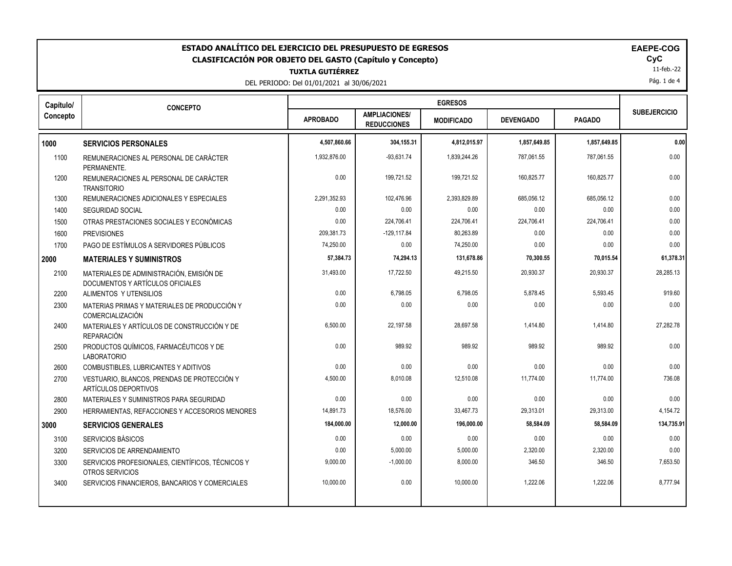| ESTADO ANALÍTICO DEL EJERCICIO DEL PRESUPUESTO DE EGRESOS<br><b>EAEPE-COG</b><br>CyC<br><b>CLASIFICACIÓN POR OBJETO DEL GASTO (Capítulo y Concepto)</b><br>11-feb.-22<br><b>TUXTLA GUTIÉRREZ</b><br>Pág. 1 de 4<br>DEL PERIODO: Del 01/01/2021 al 30/06/2021 |                                                                              |                 |                                            |                   |                  |               |                     |
|--------------------------------------------------------------------------------------------------------------------------------------------------------------------------------------------------------------------------------------------------------------|------------------------------------------------------------------------------|-----------------|--------------------------------------------|-------------------|------------------|---------------|---------------------|
| Capítulo/                                                                                                                                                                                                                                                    | <b>CONCEPTO</b>                                                              |                 |                                            | <b>EGRESOS</b>    |                  |               | <b>SUBEJERCICIO</b> |
| Concepto                                                                                                                                                                                                                                                     |                                                                              | <b>APROBADO</b> | <b>AMPLIACIONES/</b><br><b>REDUCCIONES</b> | <b>MODIFICADO</b> | <b>DEVENGADO</b> | <b>PAGADO</b> |                     |
| 1000                                                                                                                                                                                                                                                         | <b>SERVICIOS PERSONALES</b>                                                  | 4,507,860.66    | 304,155.31                                 | 4,812,015.97      | 1,857,649.85     | 1,857,649.85  | 0.00                |
| 1100                                                                                                                                                                                                                                                         | REMUNERACIONES AL PERSONAL DE CARÁCTER<br>PERMANENTE.                        | 1,932,876.00    | $-93,631.74$                               | 1,839,244.26      | 787,061.55       | 787,061.55    | 0.00                |
| 1200                                                                                                                                                                                                                                                         | REMUNERACIONES AL PERSONAL DE CARÁCTER<br><b>TRANSITORIO</b>                 | 0.00            | 199,721.52                                 | 199,721.52        | 160,825.77       | 160,825.77    | 0.00                |
| 1300                                                                                                                                                                                                                                                         | REMUNERACIONES ADICIONALES Y ESPECIALES                                      | 2,291,352.93    | 102.476.96                                 | 2.393.829.89      | 685,056.12       | 685.056.12    | 0.00                |
| 1400                                                                                                                                                                                                                                                         | <b>SEGURIDAD SOCIAL</b>                                                      | 0.00            | 0.00                                       | 0.00              | 0.00             | 0.00          | 0.00                |
| 1500                                                                                                                                                                                                                                                         | OTRAS PRESTACIONES SOCIALES Y ECONÓMICAS                                     | 0.00            | 224,706.41                                 | 224,706.41        | 224,706.41       | 224,706.41    | 0.00                |
| 1600                                                                                                                                                                                                                                                         | <b>PREVISIONES</b>                                                           | 209,381.73      | $-129, 117.84$                             | 80,263.89         | 0.00             | 0.00          | 0.00                |
| 1700                                                                                                                                                                                                                                                         | PAGO DE ESTÍMULOS A SERVIDORES PÚBLICOS                                      | 74,250.00       | 0.00                                       | 74,250.00         | 0.00             | 0.00          | 0.00                |
| 2000                                                                                                                                                                                                                                                         | <b>MATERIALES Y SUMINISTROS</b>                                              | 57,384.73       | 74,294.13                                  | 131,678.86        | 70,300.55        | 70,015.54     | 61,378.31           |
| 2100                                                                                                                                                                                                                                                         | MATERIALES DE ADMINISTRACIÓN, EMISIÓN DE<br>DOCUMENTOS Y ARTÍCULOS OFICIALES | 31,493.00       | 17,722.50                                  | 49,215.50         | 20,930.37        | 20,930.37     | 28,285.13           |
| 2200                                                                                                                                                                                                                                                         | ALIMENTOS Y UTENSILIOS                                                       | 0.00            | 6,798.05                                   | 6,798.05          | 5.878.45         | 5,593.45      | 919.60              |
| 2300                                                                                                                                                                                                                                                         | MATERIAS PRIMAS Y MATERIALES DE PRODUCCIÓN Y<br>COMERCIALIZACIÓN             | 0.00            | 0.00                                       | 0.00              | 0.00             | 0.00          | 0.00                |
| 2400                                                                                                                                                                                                                                                         | MATERIALES Y ARTÍCULOS DE CONSTRUCCIÓN Y DE<br><b>REPARACIÓN</b>             | 6,500.00        | 22,197.58                                  | 28,697.58         | 1,414.80         | 1,414.80      | 27.282.78           |
| 2500                                                                                                                                                                                                                                                         | PRODUCTOS QUÍMICOS, FARMACÉUTICOS Y DE<br><b>LABORATORIO</b>                 | 0.00            | 989.92                                     | 989.92            | 989.92           | 989.92        | 0.00                |
| 2600                                                                                                                                                                                                                                                         | COMBUSTIBLES, LUBRICANTES Y ADITIVOS                                         | 0.00            | 0.00                                       | 0.00              | 0.00             | 0.00          | 0.00                |
| 2700                                                                                                                                                                                                                                                         | VESTUARIO, BLANCOS, PRENDAS DE PROTECCIÓN Y<br>ARTÍCULOS DEPORTIVOS          | 4,500.00        | 8,010.08                                   | 12,510.08         | 11,774.00        | 11,774.00     | 736.08              |
| 2800                                                                                                                                                                                                                                                         | MATERIALES Y SUMINISTROS PARA SEGURIDAD                                      | 0.00            | 0.00                                       | 0.00              | 0.00             | 0.00          | 0.00                |
| 2900                                                                                                                                                                                                                                                         | HERRAMIENTAS, REFACCIONES Y ACCESORIOS MENORES                               | 14,891.73       | 18,576.00                                  | 33,467.73         | 29,313.01        | 29,313.00     | 4,154.72            |
| 3000                                                                                                                                                                                                                                                         | <b>SERVICIOS GENERALES</b>                                                   | 184,000.00      | 12,000.00                                  | 196,000.00        | 58,584.09        | 58,584.09     | 134,735.91          |
| 3100                                                                                                                                                                                                                                                         | SERVICIOS BÁSICOS                                                            | 0.00            | 0.00                                       | 0.00              | 0.00             | 0.00          | 0.00                |
| 3200                                                                                                                                                                                                                                                         | SERVICIOS DE ARRENDAMIENTO                                                   | 0.00            | 5,000.00                                   | 5,000.00          | 2,320.00         | 2,320.00      | 0.00                |
| 3300                                                                                                                                                                                                                                                         | SERVICIOS PROFESIONALES, CIENTÍFICOS, TÉCNICOS Y<br>OTROS SERVICIOS          | 9,000.00        | $-1,000.00$                                | 8,000.00          | 346.50           | 346.50        | 7,653.50            |
| 3400                                                                                                                                                                                                                                                         | SERVICIOS FINANCIEROS, BANCARIOS Y COMERCIALES                               | 10,000.00       | 0.00                                       | 10,000.00         | 1,222.06         | 1,222.06      | 8,777.94            |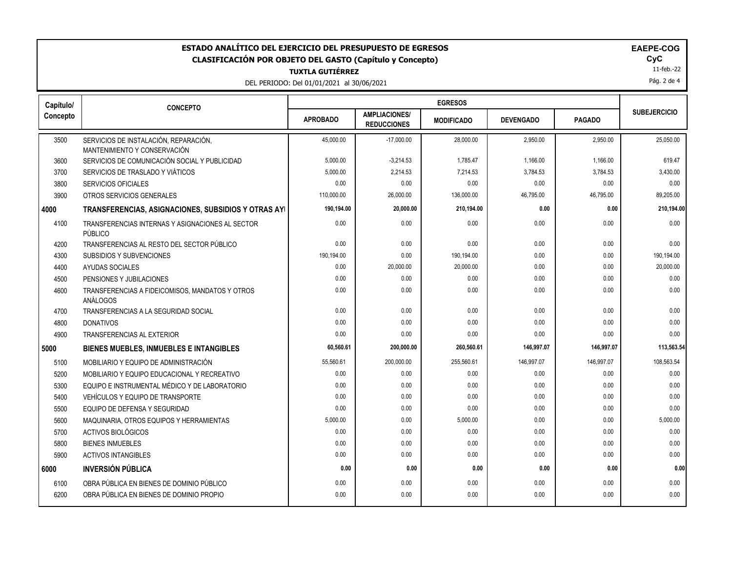| ESTADO ANALÍTICO DEL EJERCICIO DEL PRESUPUESTO DE EGRESOS<br><b>EAEPE-COG</b><br>CyC<br><b>CLASIFICACIÓN POR OBJETO DEL GASTO (Capítulo y Concepto)</b><br>11-feb.-22<br><b>TUXTLA GUTIÉRREZ</b><br>Pág. 2 de 4<br>DEL PERIODO: Del 01/01/2021 al 30/06/2021 |                                                                       |                 |                                            |                   |                  |               |                     |
|--------------------------------------------------------------------------------------------------------------------------------------------------------------------------------------------------------------------------------------------------------------|-----------------------------------------------------------------------|-----------------|--------------------------------------------|-------------------|------------------|---------------|---------------------|
| Capítulo/                                                                                                                                                                                                                                                    | <b>CONCEPTO</b>                                                       |                 |                                            | <b>EGRESOS</b>    |                  |               | <b>SUBEJERCICIO</b> |
| Concepto                                                                                                                                                                                                                                                     |                                                                       | <b>APROBADO</b> | <b>AMPLIACIONES/</b><br><b>REDUCCIONES</b> | <b>MODIFICADO</b> | <b>DEVENGADO</b> | <b>PAGADO</b> |                     |
| 3500                                                                                                                                                                                                                                                         | SERVICIOS DE INSTALACIÓN, REPARACIÓN,<br>MANTENIMIENTO Y CONSERVACIÓN | 45.000.00       | $-17,000.00$                               | 28,000.00         | 2.950.00         | 2.950.00      | 25,050.00           |
| 3600                                                                                                                                                                                                                                                         | SERVICIOS DE COMUNICACIÓN SOCIAL Y PUBLICIDAD                         | 5,000.00        | $-3,214.53$                                | 1,785.47          | 1,166.00         | 1,166.00      | 619.47              |
| 3700                                                                                                                                                                                                                                                         | SERVICIOS DE TRASLADO Y VIÁTICOS                                      | 5,000.00        | 2,214.53                                   | 7,214.53          | 3,784.53         | 3,784.53      | 3,430.00            |
| 3800                                                                                                                                                                                                                                                         | <b>SERVICIOS OFICIALES</b>                                            | 0.00            | 0.00                                       | 0.00              | 0.00             | 0.00          | 0.00                |
| 3900                                                                                                                                                                                                                                                         | OTROS SERVICIOS GENERALES                                             | 110,000.00      | 26,000.00                                  | 136,000.00        | 46,795.00        | 46,795.00     | 89,205.00           |
| 4000                                                                                                                                                                                                                                                         | TRANSFERENCIAS, ASIGNACIONES, SUBSIDIOS Y OTRAS AYI                   | 190,194.00      | 20,000.00                                  | 210,194.00        | 0.00             | 0.00          | 210,194.00          |
| 4100                                                                                                                                                                                                                                                         | TRANSFERENCIAS INTERNAS Y ASIGNACIONES AL SECTOR<br>PÚBLICO           | 0.00            | 0.00                                       | 0.00              | 0.00             | 0.00          | 0.00                |
| 4200                                                                                                                                                                                                                                                         | TRANSFERENCIAS AL RESTO DEL SECTOR PÚBLICO                            | 0.00            | 0.00                                       | 0.00              | 0.00             | 0.00          | 0.00                |
| 4300                                                                                                                                                                                                                                                         | SUBSIDIOS Y SUBVENCIONES                                              | 190,194.00      | 0.00                                       | 190,194.00        | 0.00             | 0.00          | 190,194.00          |
| 4400                                                                                                                                                                                                                                                         | <b>AYUDAS SOCIALES</b>                                                | 0.00            | 20,000.00                                  | 20,000.00         | 0.00             | 0.00          | 20,000.00           |
| 4500                                                                                                                                                                                                                                                         | PENSIONES Y JUBILACIONES                                              | 0.00            | 0.00                                       | 0.00              | 0.00             | 0.00          | 0.00                |
| 4600                                                                                                                                                                                                                                                         | TRANSFERENCIAS A FIDEICOMISOS, MANDATOS Y OTROS<br>ANÁLOGOS           | 0.00            | 0.00                                       | 0.00              | 0.00             | 0.00          | 0.00                |
| 4700                                                                                                                                                                                                                                                         | TRANSFERENCIAS A LA SEGURIDAD SOCIAL                                  | 0.00            | 0.00                                       | 0.00              | 0.00             | 0.00          | 0.00                |
| 4800                                                                                                                                                                                                                                                         | <b>DONATIVOS</b>                                                      | 0.00            | 0.00                                       | 0.00              | 0.00             | 0.00          | 0.00                |
| 4900                                                                                                                                                                                                                                                         | TRANSFERENCIAS AL EXTERIOR                                            | 0.00            | 0.00                                       | 0.00              | 0.00             | 0.00          | 0.00                |
| 5000                                                                                                                                                                                                                                                         | <b>BIENES MUEBLES, INMUEBLES E INTANGIBLES</b>                        | 60,560.61       | 200,000.00                                 | 260,560.61        | 146,997.07       | 146,997.07    | 113,563.54          |
| 5100                                                                                                                                                                                                                                                         | MOBILIARIO Y EQUIPO DE ADMINISTRACIÓN                                 | 55,560.61       | 200,000.00                                 | 255,560.61        | 146,997.07       | 146,997.07    | 108,563.54          |
| 5200                                                                                                                                                                                                                                                         | MOBILIARIO Y EQUIPO EDUCACIONAL Y RECREATIVO                          | 0.00            | 0.00                                       | 0.00              | 0.00             | 0.00          | 0.00                |
| 5300                                                                                                                                                                                                                                                         | EQUIPO E INSTRUMENTAL MÉDICO Y DE LABORATORIO                         | 0.00            | 0.00                                       | 0.00              | 0.00             | 0.00          | 0.00                |
| 5400                                                                                                                                                                                                                                                         | VEHÍCULOS Y EQUIPO DE TRANSPORTE                                      | 0.00            | 0.00                                       | 0.00              | 0.00             | 0.00          | 0.00                |
| 5500                                                                                                                                                                                                                                                         | EQUIPO DE DEFENSA Y SEGURIDAD                                         | 0.00            | 0.00                                       | 0.00              | 0.00             | 0.00          | 0.00                |
| 5600                                                                                                                                                                                                                                                         | MAQUINARIA, OTROS EQUIPOS Y HERRAMIENTAS                              | 5,000.00        | 0.00                                       | 5,000.00          | 0.00             | 0.00          | 5,000.00            |
| 5700                                                                                                                                                                                                                                                         | <b>ACTIVOS BIOLÓGICOS</b>                                             | 0.00            | 0.00                                       | 0.00              | 0.00             | 0.00          | 0.00                |
| 5800                                                                                                                                                                                                                                                         | <b>BIENES INMUEBLES</b>                                               | 0.00            | 0.00                                       | 0.00              | 0.00             | 0.00          | 0.00                |
| 5900                                                                                                                                                                                                                                                         | <b>ACTIVOS INTANGIBLES</b>                                            | 0.00            | 0.00                                       | 0.00              | 0.00             | 0.00          | 0.00                |
| 6000                                                                                                                                                                                                                                                         | <b>INVERSIÓN PÚBLICA</b>                                              | 0.00            | 0.00                                       | 0.00              | 0.00             | 0.00          | 0.00                |
| 6100                                                                                                                                                                                                                                                         | OBRA PÚBLICA EN BIENES DE DOMINIO PÚBLICO                             | 0.00            | 0.00                                       | 0.00              | 0.00             | 0.00          | 0.00                |
| 6200                                                                                                                                                                                                                                                         | OBRA PÚBLICA EN BIENES DE DOMINIO PROPIO                              | 0.00            | 0.00                                       | 0.00              | 0.00             | 0.00          | 0.00                |
|                                                                                                                                                                                                                                                              |                                                                       |                 |                                            |                   |                  |               |                     |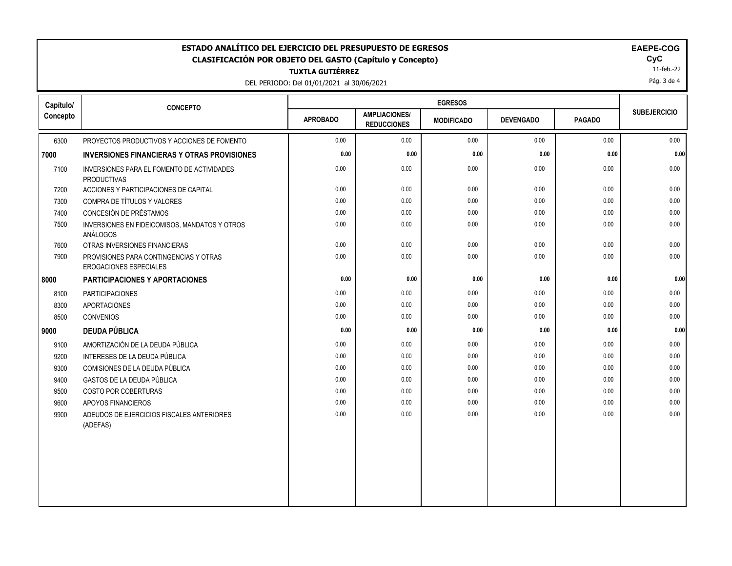| <b>EGRESOS</b><br>Capítulo/<br><b>CONCEPTO</b><br><b>SUBEJERCICIO</b><br><b>AMPLIACIONES/</b><br><b>APROBADO</b><br><b>PAGADO</b><br><b>DEVENGADO</b><br><b>MODIFICADO</b><br><b>REDUCCIONES</b><br>0.00<br>0.00<br>0.00<br>0.00<br>6300<br>PROYECTOS PRODUCTIVOS Y ACCIONES DE FOMENTO<br>0.00<br>0.00<br>0.00<br>0.00<br>0.00<br>0.00<br><b>INVERSIONES FINANCIERAS Y OTRAS PROVISIONES</b><br>0.00<br>0.00<br>0.00<br>0.00<br>0.00<br>7100<br>INVERSIONES PARA EL FOMENTO DE ACTIVIDADES<br><b>PRODUCTIVAS</b><br>0.00<br>7200<br>ACCIONES Y PARTICIPACIONES DE CAPITAL<br>0.00<br>0.00<br>0.00<br>0.00<br>0.00<br>COMPRA DE TÍTULOS Y VALORES<br>0.00<br>0.00<br>0.00<br>0.00<br>7300<br>CONCESIÓN DE PRÉSTAMOS<br>0.00<br>0.00<br>7400<br>0.00<br>0.00<br>0.00<br>0.00<br>0.00<br>0.00<br>0.00<br>0.00<br>7500<br>INVERSIONES EN FIDEICOMISOS, MANDATOS Y OTROS<br>ANÁLOGOS<br>0.00<br>0.00<br>0.00<br>OTRAS INVERSIONES FINANCIERAS<br>0.00<br>0.00<br>7600<br>0.00<br>0.00<br>0.00<br>0.00<br>0.00<br>7900<br>PROVISIONES PARA CONTINGENCIAS Y OTRAS<br>EROGACIONES ESPECIALES<br>0.00<br>0.00<br>0.00<br>0.00<br>0.00<br><b>PARTICIPACIONES Y APORTACIONES</b><br>0.00<br>0.00<br>0.00<br>0.00<br><b>PARTICIPACIONES</b><br>0.00<br>8100<br>8300<br><b>APORTACIONES</b><br>0.00<br>0.00<br>0.00<br>0.00<br>0.00<br>0.00<br>0.00<br>0.00<br>0.00<br>0.00<br>8500<br><b>CONVENIOS</b><br>0.00<br>0.00<br>0.00<br>0.00<br><b>DEUDA PÚBLICA</b><br>0.00<br>0.00<br>0.00<br>AMORTIZACIÓN DE LA DEUDA PÚBLICA<br>0.00<br>0.00<br>0.00<br>9100<br>0.00<br>9200<br>INTERESES DE LA DEUDA PÚBLICA<br>0.00<br>0.00<br>0.00<br>0.00<br>0.00<br>0.00<br>0.00<br>0.00<br>0.00<br>9300<br>COMISIONES DE LA DEUDA PÚBLICA<br>0.00<br>0.00<br>GASTOS DE LA DEUDA PÚBLICA<br>0.00<br>0.00<br>0.00<br>9400<br>9500<br>COSTO POR COBERTURAS<br>0.00<br>0.00<br>0.00<br>0.00<br>0.00<br>0.00<br>0.00<br>0.00<br>0.00<br>0.00<br>9600<br>APOYOS FINANCIEROS<br>0.00<br>0.00<br>0.00<br>0.00<br>0.00<br>9900<br>ADEUDOS DE EJERCICIOS FISCALES ANTERIORES<br>(ADEFAS) | ESTADO ANALÍTICO DEL EJERCICIO DEL PRESUPUESTO DE EGRESOS<br>EAEPE-COG<br>CyC<br><b>CLASIFICACIÓN POR OBJETO DEL GASTO (Capítulo y Concepto)</b><br>11-feb.-22<br><b>TUXTLA GUTIÉRREZ</b><br>Pág. 3 de 4<br>DEL PERIODO: Del 01/01/2021 al 30/06/2021 |  |  |  |  |  |  |          |
|---------------------------------------------------------------------------------------------------------------------------------------------------------------------------------------------------------------------------------------------------------------------------------------------------------------------------------------------------------------------------------------------------------------------------------------------------------------------------------------------------------------------------------------------------------------------------------------------------------------------------------------------------------------------------------------------------------------------------------------------------------------------------------------------------------------------------------------------------------------------------------------------------------------------------------------------------------------------------------------------------------------------------------------------------------------------------------------------------------------------------------------------------------------------------------------------------------------------------------------------------------------------------------------------------------------------------------------------------------------------------------------------------------------------------------------------------------------------------------------------------------------------------------------------------------------------------------------------------------------------------------------------------------------------------------------------------------------------------------------------------------------------------------------------------------------------------------------------------------------------------------------------------------------------------------------------------------------------------------------------------------------------------------------------------------|-------------------------------------------------------------------------------------------------------------------------------------------------------------------------------------------------------------------------------------------------------|--|--|--|--|--|--|----------|
|                                                                                                                                                                                                                                                                                                                                                                                                                                                                                                                                                                                                                                                                                                                                                                                                                                                                                                                                                                                                                                                                                                                                                                                                                                                                                                                                                                                                                                                                                                                                                                                                                                                                                                                                                                                                                                                                                                                                                                                                                                                         |                                                                                                                                                                                                                                                       |  |  |  |  |  |  |          |
|                                                                                                                                                                                                                                                                                                                                                                                                                                                                                                                                                                                                                                                                                                                                                                                                                                                                                                                                                                                                                                                                                                                                                                                                                                                                                                                                                                                                                                                                                                                                                                                                                                                                                                                                                                                                                                                                                                                                                                                                                                                         | Concepto                                                                                                                                                                                                                                              |  |  |  |  |  |  |          |
|                                                                                                                                                                                                                                                                                                                                                                                                                                                                                                                                                                                                                                                                                                                                                                                                                                                                                                                                                                                                                                                                                                                                                                                                                                                                                                                                                                                                                                                                                                                                                                                                                                                                                                                                                                                                                                                                                                                                                                                                                                                         |                                                                                                                                                                                                                                                       |  |  |  |  |  |  | 0.00     |
|                                                                                                                                                                                                                                                                                                                                                                                                                                                                                                                                                                                                                                                                                                                                                                                                                                                                                                                                                                                                                                                                                                                                                                                                                                                                                                                                                                                                                                                                                                                                                                                                                                                                                                                                                                                                                                                                                                                                                                                                                                                         | 7000                                                                                                                                                                                                                                                  |  |  |  |  |  |  | 0.00     |
|                                                                                                                                                                                                                                                                                                                                                                                                                                                                                                                                                                                                                                                                                                                                                                                                                                                                                                                                                                                                                                                                                                                                                                                                                                                                                                                                                                                                                                                                                                                                                                                                                                                                                                                                                                                                                                                                                                                                                                                                                                                         |                                                                                                                                                                                                                                                       |  |  |  |  |  |  | 0.00     |
|                                                                                                                                                                                                                                                                                                                                                                                                                                                                                                                                                                                                                                                                                                                                                                                                                                                                                                                                                                                                                                                                                                                                                                                                                                                                                                                                                                                                                                                                                                                                                                                                                                                                                                                                                                                                                                                                                                                                                                                                                                                         |                                                                                                                                                                                                                                                       |  |  |  |  |  |  | 0.00     |
|                                                                                                                                                                                                                                                                                                                                                                                                                                                                                                                                                                                                                                                                                                                                                                                                                                                                                                                                                                                                                                                                                                                                                                                                                                                                                                                                                                                                                                                                                                                                                                                                                                                                                                                                                                                                                                                                                                                                                                                                                                                         |                                                                                                                                                                                                                                                       |  |  |  |  |  |  | 0.00     |
|                                                                                                                                                                                                                                                                                                                                                                                                                                                                                                                                                                                                                                                                                                                                                                                                                                                                                                                                                                                                                                                                                                                                                                                                                                                                                                                                                                                                                                                                                                                                                                                                                                                                                                                                                                                                                                                                                                                                                                                                                                                         |                                                                                                                                                                                                                                                       |  |  |  |  |  |  | $0.00\,$ |
|                                                                                                                                                                                                                                                                                                                                                                                                                                                                                                                                                                                                                                                                                                                                                                                                                                                                                                                                                                                                                                                                                                                                                                                                                                                                                                                                                                                                                                                                                                                                                                                                                                                                                                                                                                                                                                                                                                                                                                                                                                                         |                                                                                                                                                                                                                                                       |  |  |  |  |  |  | 0.00     |
|                                                                                                                                                                                                                                                                                                                                                                                                                                                                                                                                                                                                                                                                                                                                                                                                                                                                                                                                                                                                                                                                                                                                                                                                                                                                                                                                                                                                                                                                                                                                                                                                                                                                                                                                                                                                                                                                                                                                                                                                                                                         |                                                                                                                                                                                                                                                       |  |  |  |  |  |  | 0.00     |
|                                                                                                                                                                                                                                                                                                                                                                                                                                                                                                                                                                                                                                                                                                                                                                                                                                                                                                                                                                                                                                                                                                                                                                                                                                                                                                                                                                                                                                                                                                                                                                                                                                                                                                                                                                                                                                                                                                                                                                                                                                                         |                                                                                                                                                                                                                                                       |  |  |  |  |  |  | 0.00     |
|                                                                                                                                                                                                                                                                                                                                                                                                                                                                                                                                                                                                                                                                                                                                                                                                                                                                                                                                                                                                                                                                                                                                                                                                                                                                                                                                                                                                                                                                                                                                                                                                                                                                                                                                                                                                                                                                                                                                                                                                                                                         | 8000                                                                                                                                                                                                                                                  |  |  |  |  |  |  | 0.00     |
|                                                                                                                                                                                                                                                                                                                                                                                                                                                                                                                                                                                                                                                                                                                                                                                                                                                                                                                                                                                                                                                                                                                                                                                                                                                                                                                                                                                                                                                                                                                                                                                                                                                                                                                                                                                                                                                                                                                                                                                                                                                         |                                                                                                                                                                                                                                                       |  |  |  |  |  |  | 0.00     |
|                                                                                                                                                                                                                                                                                                                                                                                                                                                                                                                                                                                                                                                                                                                                                                                                                                                                                                                                                                                                                                                                                                                                                                                                                                                                                                                                                                                                                                                                                                                                                                                                                                                                                                                                                                                                                                                                                                                                                                                                                                                         |                                                                                                                                                                                                                                                       |  |  |  |  |  |  | 0.00     |
|                                                                                                                                                                                                                                                                                                                                                                                                                                                                                                                                                                                                                                                                                                                                                                                                                                                                                                                                                                                                                                                                                                                                                                                                                                                                                                                                                                                                                                                                                                                                                                                                                                                                                                                                                                                                                                                                                                                                                                                                                                                         |                                                                                                                                                                                                                                                       |  |  |  |  |  |  | 0.00     |
|                                                                                                                                                                                                                                                                                                                                                                                                                                                                                                                                                                                                                                                                                                                                                                                                                                                                                                                                                                                                                                                                                                                                                                                                                                                                                                                                                                                                                                                                                                                                                                                                                                                                                                                                                                                                                                                                                                                                                                                                                                                         | 9000                                                                                                                                                                                                                                                  |  |  |  |  |  |  | 0.00     |
|                                                                                                                                                                                                                                                                                                                                                                                                                                                                                                                                                                                                                                                                                                                                                                                                                                                                                                                                                                                                                                                                                                                                                                                                                                                                                                                                                                                                                                                                                                                                                                                                                                                                                                                                                                                                                                                                                                                                                                                                                                                         |                                                                                                                                                                                                                                                       |  |  |  |  |  |  | 0.00     |
|                                                                                                                                                                                                                                                                                                                                                                                                                                                                                                                                                                                                                                                                                                                                                                                                                                                                                                                                                                                                                                                                                                                                                                                                                                                                                                                                                                                                                                                                                                                                                                                                                                                                                                                                                                                                                                                                                                                                                                                                                                                         |                                                                                                                                                                                                                                                       |  |  |  |  |  |  | 0.00     |
|                                                                                                                                                                                                                                                                                                                                                                                                                                                                                                                                                                                                                                                                                                                                                                                                                                                                                                                                                                                                                                                                                                                                                                                                                                                                                                                                                                                                                                                                                                                                                                                                                                                                                                                                                                                                                                                                                                                                                                                                                                                         |                                                                                                                                                                                                                                                       |  |  |  |  |  |  | 0.00     |
|                                                                                                                                                                                                                                                                                                                                                                                                                                                                                                                                                                                                                                                                                                                                                                                                                                                                                                                                                                                                                                                                                                                                                                                                                                                                                                                                                                                                                                                                                                                                                                                                                                                                                                                                                                                                                                                                                                                                                                                                                                                         |                                                                                                                                                                                                                                                       |  |  |  |  |  |  | 0.00     |
|                                                                                                                                                                                                                                                                                                                                                                                                                                                                                                                                                                                                                                                                                                                                                                                                                                                                                                                                                                                                                                                                                                                                                                                                                                                                                                                                                                                                                                                                                                                                                                                                                                                                                                                                                                                                                                                                                                                                                                                                                                                         |                                                                                                                                                                                                                                                       |  |  |  |  |  |  | 0.00     |
|                                                                                                                                                                                                                                                                                                                                                                                                                                                                                                                                                                                                                                                                                                                                                                                                                                                                                                                                                                                                                                                                                                                                                                                                                                                                                                                                                                                                                                                                                                                                                                                                                                                                                                                                                                                                                                                                                                                                                                                                                                                         |                                                                                                                                                                                                                                                       |  |  |  |  |  |  | 0.00     |
|                                                                                                                                                                                                                                                                                                                                                                                                                                                                                                                                                                                                                                                                                                                                                                                                                                                                                                                                                                                                                                                                                                                                                                                                                                                                                                                                                                                                                                                                                                                                                                                                                                                                                                                                                                                                                                                                                                                                                                                                                                                         |                                                                                                                                                                                                                                                       |  |  |  |  |  |  | 0.00     |